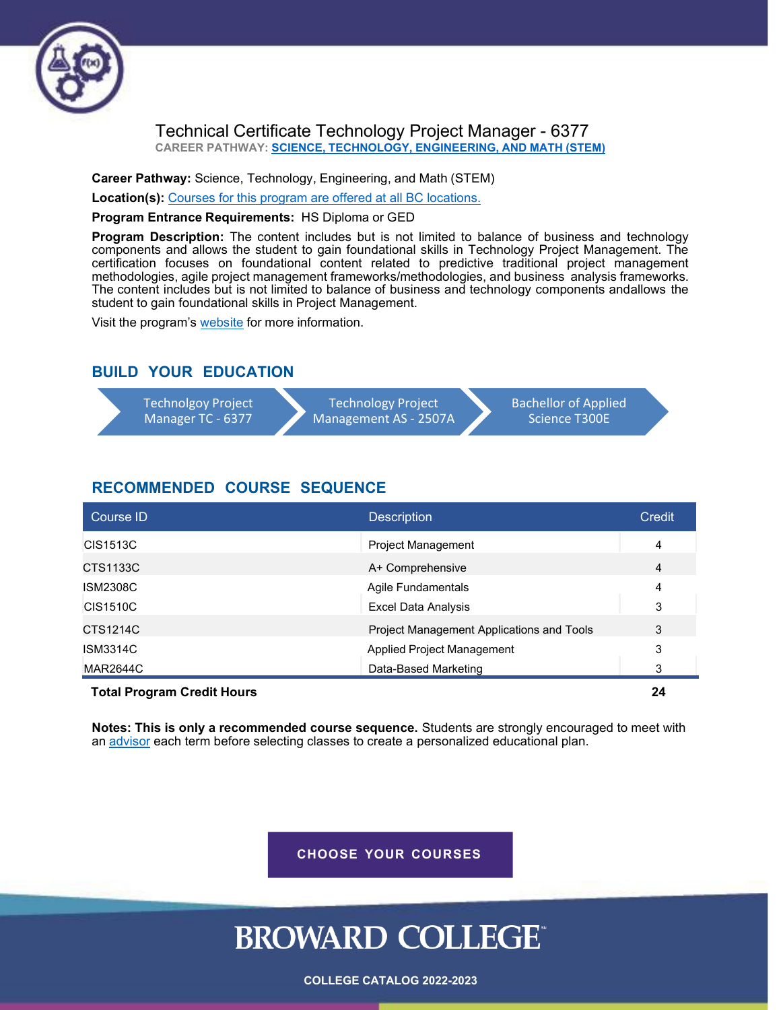

#### Technical Certificate Technology Project Manager - 6377 **CAREER PATHWAY: SCIENCE, [TECHNOLOGY,](http://www.broward.edu/academics/programs/Pages/science-technology-math-engineering-STEM.aspx) ENGINEERING, AND MATH (STEM)**

**Career Pathway:** Science, Technology, [Engineering,](http://www.broward.edu/academics/programs/Pages/science-technology-math-engineering-STEM.aspx) and Math (STEM)

**Location(s):** Courses for this program are offered at all BC [locations.](http://www.broward.edu/locations/Pages/default.aspx)

**Program Entrance Requirements:** HS Diploma or GED

**Program Description:** The content includes but is not limited to balance of business and technology components and allows the student to gain foundational skills in Technology Project Management. The certification focuses on foundational content related to predictive traditional project management methodologies, agile project management frameworks/methodologies, and business analysis frameworks. The content includes but is not limited to balance of business and technology components andallows the student to gain foundational skills in Project Management.

Visit the program's [website](http://www.broward.edu/academics/programs/computer/Pages/default.aspx) for more information.

#### **BUILD YOUR EDUCATION**

| Technolgoy Project | <b>Technology Project</b> | <b>Bachellor of Applied</b> |  |
|--------------------|---------------------------|-----------------------------|--|
| Manager TC - 6377  | Management AS - 2507A     | Science T300E               |  |

#### **RECOMMENDED COURSE SEQUENCE**

| <b>Course ID</b>                  | <b>Description</b>                        | Credit |
|-----------------------------------|-------------------------------------------|--------|
| CIS1513C                          | Project Management                        | 4      |
| CTS1133C                          | A+ Comprehensive                          | 4      |
| <b>ISM2308C</b>                   | Agile Fundamentals                        | 4      |
| <b>CIS1510C</b>                   | <b>Excel Data Analysis</b>                | 3      |
| CTS1214C                          | Project Management Applications and Tools | 3      |
| <b>ISM3314C</b>                   | Applied Project Management                | 3      |
| <b>MAR2644C</b>                   | Data-Based Marketing                      | 3      |
| <b>Total Program Credit Hours</b> |                                           | 24     |

**Notes: This is only a recommended course sequence.** Students are strongly encouraged to meet with an [advisor](http://www.broward.edu/studentresources/advising/Pages/default.aspx) each term before selecting classes to create a personalized educational plan.

**CHOOSE YOUR COURSES**

# **BROWARD COLLEGE®**

**COLLEGE CATALOG 2022-2023**